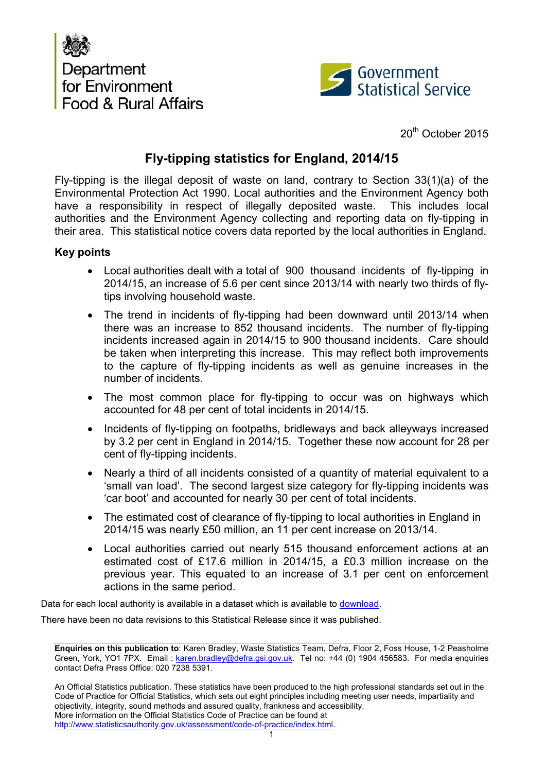



20<sup>th</sup> October 2015

# **Fly-tipping statistics for England, 2014/15**

Fly-tipping is the illegal deposit of waste on land, contrary to Section 33(1)(a) of the Environmental Protection Act 1990. Local authorities and the Environment Agency both have a responsibility in respect of illegally deposited waste. This includes local authorities and the Environment Agency collecting and reporting data on fly-tipping in their area. This statistical notice covers data reported by the local authorities in England.

#### **Key points**

- Local authorities dealt with a total of 900 thousand incidents of fly-tipping in 2014/15, an increase of 5.6 per cent since 2013/14 with nearly two thirds of flytips involving household waste.
- The trend in incidents of fly-tipping had been downward until 2013/14 when there was an increase to 852 thousand incidents. The number of fly-tipping incidents increased again in 2014/15 to 900 thousand incidents. Care should be taken when interpreting this increase. This may reflect both improvements to the capture of fly-tipping incidents as well as genuine increases in the number of incidents.
- The most common place for fly-tipping to occur was on highways which accounted for 48 per cent of total incidents in 2014/15.
- Incidents of fly-tipping on footpaths, bridleways and back alleyways increased by 3.2 per cent in England in 2014/15. Together these now account for 28 per cent of fly-tipping incidents.
- Nearly a third of all incidents consisted of a quantity of material equivalent to a 'small van load'. The second largest size category for fly-tipping incidents was 'car boot' and accounted for nearly 30 per cent of total incidents.
- The estimated cost of clearance of fly-tipping to local authorities in England in 2014/15 was nearly £50 million, an 11 per cent increase on 2013/14.
- Local authorities carried out nearly 515 thousand enforcement actions at an estimated cost of £17.6 million in 2014/15, a £0.3 million increase on the previous year. This equated to an increase of 3.1 per cent on enforcement actions in the same period.

Data for each local authority is available in a dataset which is available to [download.](https://www.gov.uk/government/statistical-data-sets/env24-fly-tipping-incidents-and-actions-taken-in-england)

There have been no data revisions to this Statistical Release since it was published.

**Enquiries on this publication to**: Karen Bradley, Waste Statistics Team, Defra, Floor 2, Foss House, 1-2 Peasholme Green, York, YO1 7PX. Email: [karen.bradley@defra.gsi.gov.uk.](mailto:robin.karfoot@defra.gsi.gov.uk) Tel no: +44 (0) 1904 456583. For media enquiries contact Defra Press Office: 020 7238 5391.

An Official Statistics publication. These statistics have been produced to the high professional standards set out in the Code of Practice for Official Statistics, which sets out eight principles including meeting user needs, impartiality and objectivity, integrity, sound methods and assured quality, frankness and accessibility. More information on the Official Statistics Code of Practice can be found at [http://www.statisticsauthority.gov.uk/assessment/code-of-practice/index.html.](http://www.statisticsauthority.gov.uk/assessment/code-of-practice/index.html)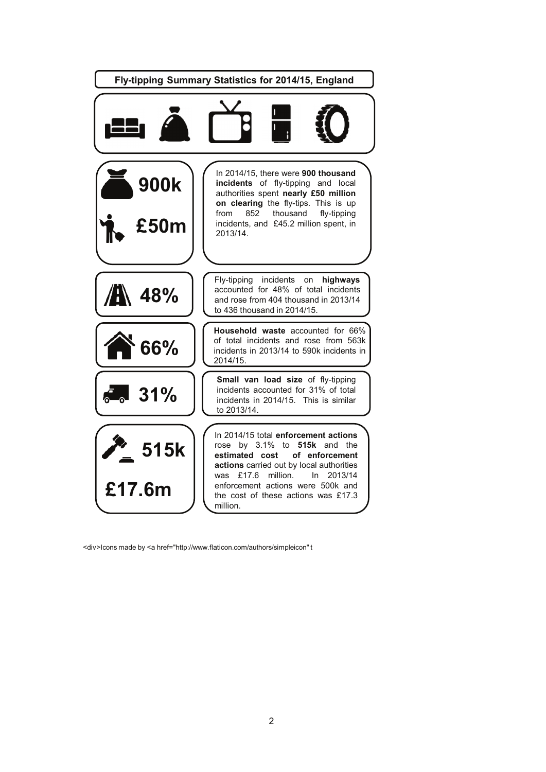

<div>Icons made by <a href="http://www.flaticon.com/authors/simpleicon" t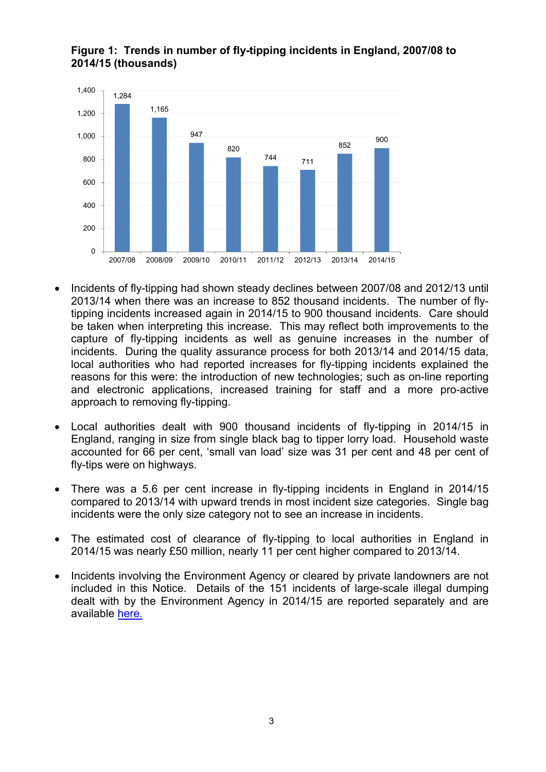

## **Figure 1: Trends in number of fly-tipping incidents in England, 2007/08 to 2014/15 (thousands)**

- Incidents of fly-tipping had shown steady declines between 2007/08 and 2012/13 until 2013/14 when there was an increase to 852 thousand incidents. The number of flytipping incidents increased again in 2014/15 to 900 thousand incidents. Care should be taken when interpreting this increase. This may reflect both improvements to the capture of fly-tipping incidents as well as genuine increases in the number of incidents. During the quality assurance process for both 2013/14 and 2014/15 data, local authorities who had reported increases for fly-tipping incidents explained the reasons for this were: the introduction of new technologies; such as on-line reporting and electronic applications, increased training for staff and a more pro-active approach to removing fly-tipping.
- Local authorities dealt with 900 thousand incidents of fly-tipping in 2014/15 in England, ranging in size from single black bag to tipper lorry load. Household waste accounted for 66 per cent, 'small van load' size was 31 per cent and 48 per cent of fly-tips were on highways.
- There was a 5.6 per cent increase in fly-tipping incidents in England in 2014/15 compared to 2013/14 with upward trends in most incident size categories. Single bag incidents were the only size category not to see an increase in incidents.
- The estimated cost of clearance of fly-tipping to local authorities in England in 2014/15 was nearly £50 million, nearly 11 per cent higher compared to 2013/14.
- Incidents involving the Environment Agency or cleared by private landowners are not included in this Notice. Details of the 151 incidents of large-scale illegal dumping dealt with by the Environment Agency in 2014/15 are reported separately and are available [here.](https://www.gov.uk/government/statistical-data-sets/env24-fly-tipping-incidents-and-actions-taken-in-england)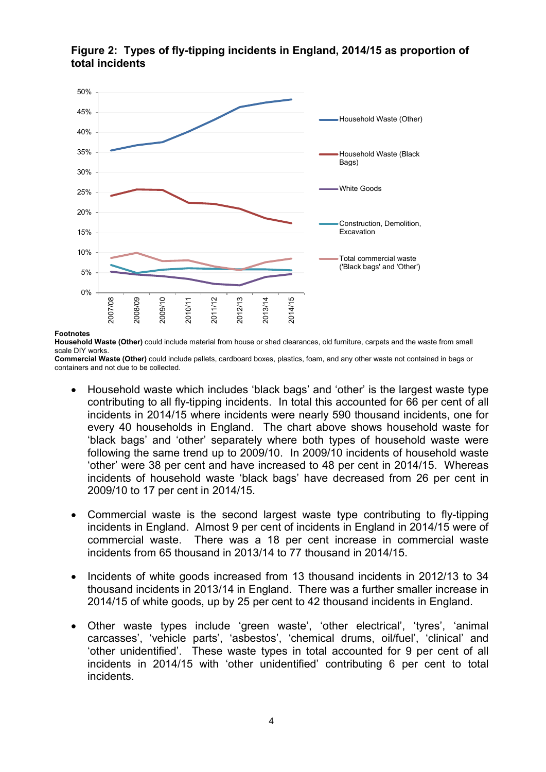

## **Figure 2: Types of fly-tipping incidents in England, 2014/15 as proportion of total incidents**

#### **Footnotes**

**Household Waste (Other)** could include material from house or shed clearances, old furniture, carpets and the waste from small scale DIY works.

**Commercial Waste (Other)** could include pallets, cardboard boxes, plastics, foam, and any other waste not contained in bags or containers and not due to be collected.

- Household waste which includes 'black bags' and 'other' is the largest waste type contributing to all fly-tipping incidents. In total this accounted for 66 per cent of all incidents in 2014/15 where incidents were nearly 590 thousand incidents, one for every 40 households in England. The chart above shows household waste for 'black bags' and 'other' separately where both types of household waste were following the same trend up to 2009/10. In 2009/10 incidents of household waste 'other' were 38 per cent and have increased to 48 per cent in 2014/15. Whereas incidents of household waste 'black bags' have decreased from 26 per cent in 2009/10 to 17 per cent in 2014/15.
- Commercial waste is the second largest waste type contributing to fly-tipping incidents in England. Almost 9 per cent of incidents in England in 2014/15 were of commercial waste. There was a 18 per cent increase in commercial waste incidents from 65 thousand in 2013/14 to 77 thousand in 2014/15.
- Incidents of white goods increased from 13 thousand incidents in 2012/13 to 34 thousand incidents in 2013/14 in England. There was a further smaller increase in 2014/15 of white goods, up by 25 per cent to 42 thousand incidents in England.
- Other waste types include 'green waste', 'other electrical', 'tyres', 'animal carcasses', 'vehicle parts', 'asbestos', 'chemical drums, oil/fuel', 'clinical' and 'other unidentified'. These waste types in total accounted for 9 per cent of all incidents in 2014/15 with 'other unidentified' contributing 6 per cent to total incidents.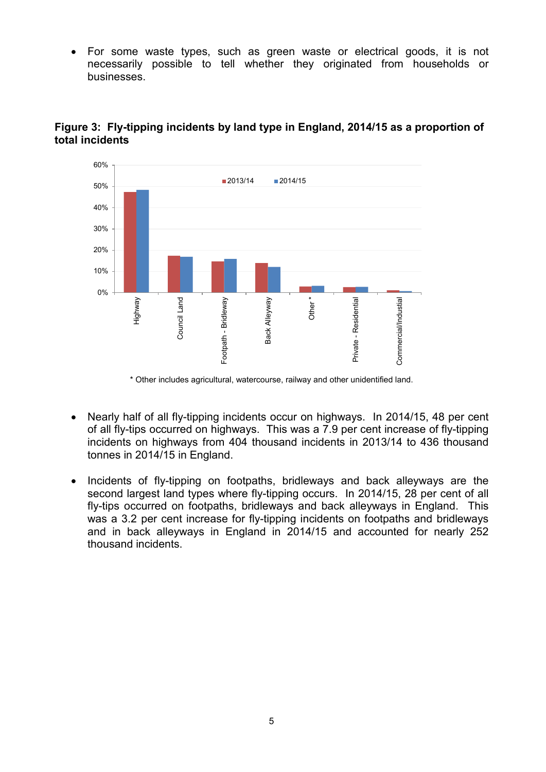• For some waste types, such as green waste or electrical goods, it is not necessarily possible to tell whether they originated from households or businesses.



### **Figure 3: Fly-tipping incidents by land type in England, 2014/15 as a proportion of total incidents**

\* Other includes agricultural, watercourse, railway and other unidentified land.

- Nearly half of all fly-tipping incidents occur on highways. In 2014/15, 48 per cent of all fly-tips occurred on highways. This was a 7.9 per cent increase of fly-tipping incidents on highways from 404 thousand incidents in 2013/14 to 436 thousand tonnes in 2014/15 in England.
- Incidents of fly-tipping on footpaths, bridleways and back alleyways are the second largest land types where fly-tipping occurs. In 2014/15, 28 per cent of all fly-tips occurred on footpaths, bridleways and back alleyways in England. This was a 3.2 per cent increase for fly-tipping incidents on footpaths and bridleways and in back alleyways in England in 2014/15 and accounted for nearly 252 thousand incidents.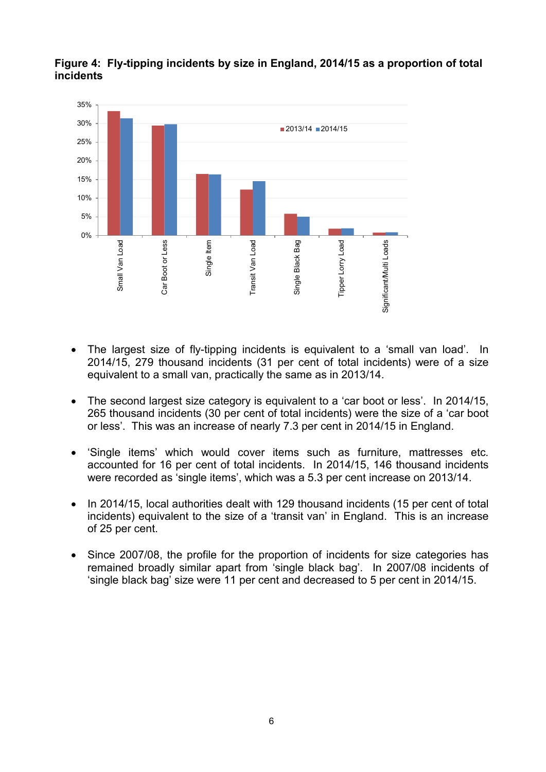

## **Figure 4: Fly-tipping incidents by size in England, 2014/15 as a proportion of total incidents**

- The largest size of fly-tipping incidents is equivalent to a 'small van load'. In 2014/15, 279 thousand incidents (31 per cent of total incidents) were of a size equivalent to a small van, practically the same as in 2013/14.
- The second largest size category is equivalent to a 'car boot or less'. In 2014/15, 265 thousand incidents (30 per cent of total incidents) were the size of a 'car boot or less'. This was an increase of nearly 7.3 per cent in 2014/15 in England.
- 'Single items' which would cover items such as furniture, mattresses etc. accounted for 16 per cent of total incidents. In 2014/15, 146 thousand incidents were recorded as 'single items', which was a 5.3 per cent increase on 2013/14.
- In 2014/15, local authorities dealt with 129 thousand incidents (15 per cent of total incidents) equivalent to the size of a 'transit van' in England. This is an increase of 25 per cent.
- Since 2007/08, the profile for the proportion of incidents for size categories has remained broadly similar apart from 'single black bag'. In 2007/08 incidents of 'single black bag' size were 11 per cent and decreased to 5 per cent in 2014/15.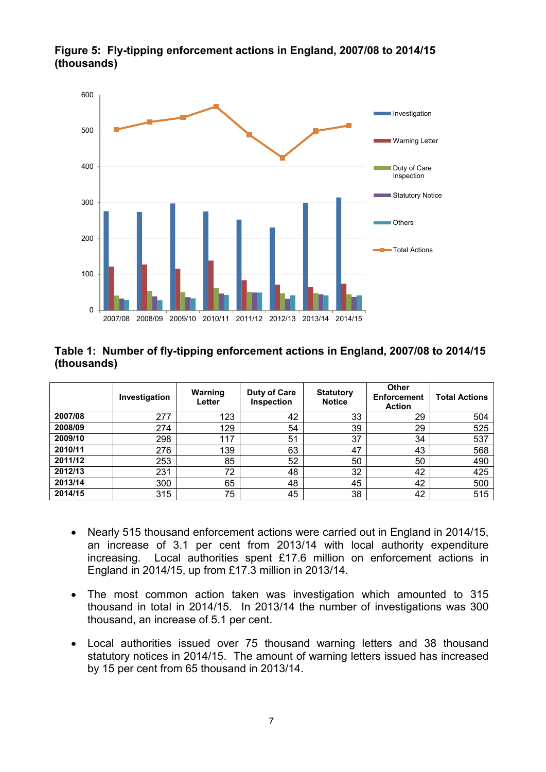

## **Figure 5: Fly-tipping enforcement actions in England, 2007/08 to 2014/15 (thousands)**

#### **Table 1: Number of fly-tipping enforcement actions in England, 2007/08 to 2014/15 (thousands)**

|         | Investigation | Warning<br>Letter | Duty of Care<br>Inspection | <b>Statutory</b><br><b>Notice</b> | Other<br><b>Enforcement</b><br><b>Action</b> | <b>Total Actions</b> |
|---------|---------------|-------------------|----------------------------|-----------------------------------|----------------------------------------------|----------------------|
| 2007/08 | 277           | 123               | 42                         | 33                                | 29                                           | 504                  |
| 2008/09 | 274           | 129               | 54                         | 39                                | 29                                           | 525                  |
| 2009/10 | 298           | 117               | 51                         | 37                                | 34                                           | 537                  |
| 2010/11 | 276           | 139               | 63                         | 47                                | 43                                           | 568                  |
| 2011/12 | 253           | 85                | 52                         | 50                                | 50                                           | 490                  |
| 2012/13 | 231           | 72                | 48                         | 32                                | 42                                           | 425                  |
| 2013/14 | 300           | 65                | 48                         | 45                                | 42                                           | 500                  |
| 2014/15 | 315           | 75                | 45                         | 38                                | 42                                           | 515                  |

- Nearly 515 thousand enforcement actions were carried out in England in 2014/15, an increase of 3.1 per cent from 2013/14 with local authority expenditure increasing. Local authorities spent £17.6 million on enforcement actions in England in 2014/15, up from £17.3 million in 2013/14.
- The most common action taken was investigation which amounted to 315 thousand in total in 2014/15. In 2013/14 the number of investigations was 300 thousand, an increase of 5.1 per cent.
- Local authorities issued over 75 thousand warning letters and 38 thousand statutory notices in 2014/15. The amount of warning letters issued has increased by 15 per cent from 65 thousand in 2013/14.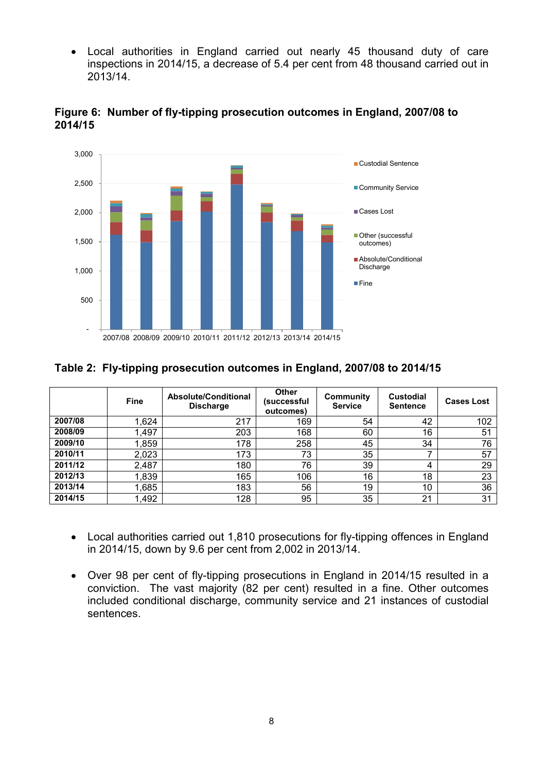• Local authorities in England carried out nearly 45 thousand duty of care inspections in 2014/15, a decrease of 5.4 per cent from 48 thousand carried out in 2013/14.



#### **Figure 6: Number of fly-tipping prosecution outcomes in England, 2007/08 to 2014/15**

## **Table 2: Fly-tipping prosecution outcomes in England, 2007/08 to 2014/15**

|         | <b>Fine</b> | Absolute/Conditional<br><b>Discharge</b> | <b>Other</b><br>(successful<br>outcomes) | Community<br><b>Service</b> | <b>Custodial</b><br><b>Sentence</b> | <b>Cases Lost</b> |
|---------|-------------|------------------------------------------|------------------------------------------|-----------------------------|-------------------------------------|-------------------|
| 2007/08 | 1,624       | 217                                      | 169                                      | 54                          | 42                                  | 102               |
| 2008/09 | 1,497       | 203                                      | 168                                      | 60                          | 16                                  | 51                |
| 2009/10 | 1,859       | 178                                      | 258                                      | 45                          | 34                                  | 76                |
| 2010/11 | 2,023       | 173                                      | 73                                       | 35                          |                                     | 57                |
| 2011/12 | 2,487       | 180                                      | 76                                       | 39                          | 4                                   | 29                |
| 2012/13 | 1,839       | 165                                      | 106                                      | 16                          | 18                                  | 23                |
| 2013/14 | 1,685       | 183                                      | 56                                       | 19                          | 10                                  | 36                |
| 2014/15 | 1,492       | 128                                      | 95                                       | 35                          | 21                                  | 31                |

- Local authorities carried out 1,810 prosecutions for fly-tipping offences in England in 2014/15, down by 9.6 per cent from 2,002 in 2013/14.
- Over 98 per cent of fly-tipping prosecutions in England in 2014/15 resulted in a conviction. The vast majority (82 per cent) resulted in a fine. Other outcomes included conditional discharge, community service and 21 instances of custodial sentences.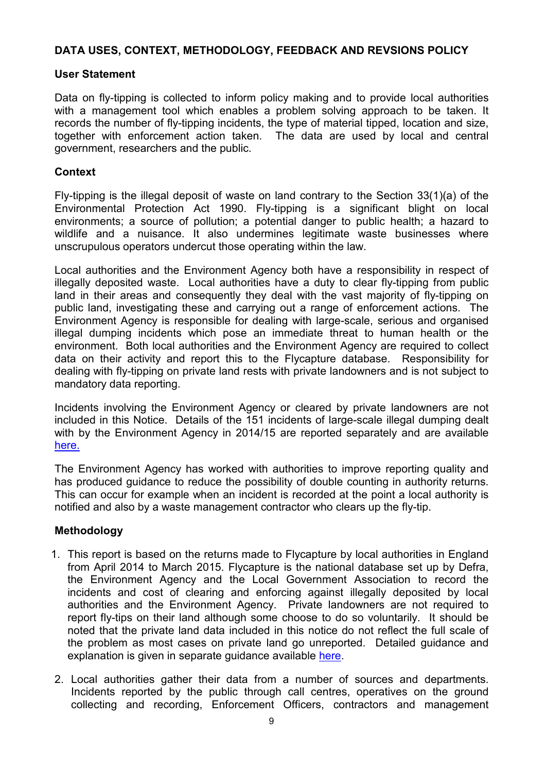#### **DATA USES, CONTEXT, METHODOLOGY, FEEDBACK AND REVSIONS POLICY**

#### **User Statement**

Data on fly-tipping is collected to inform policy making and to provide local authorities with a management tool which enables a problem solving approach to be taken. It records the number of fly-tipping incidents, the type of material tipped, location and size, together with enforcement action taken. The data are used by local and central government, researchers and the public.

### **Context**

Fly-tipping is the illegal deposit of waste on land contrary to the Section 33(1)(a) of the Environmental Protection Act 1990. Fly-tipping is a significant blight on local environments; a source of pollution; a potential danger to public health; a hazard to wildlife and a nuisance. It also undermines legitimate waste businesses where unscrupulous operators undercut those operating within the law.

Local authorities and the Environment Agency both have a responsibility in respect of illegally deposited waste. Local authorities have a duty to clear fly-tipping from public land in their areas and consequently they deal with the vast majority of fly-tipping on public land, investigating these and carrying out a range of enforcement actions. The Environment Agency is responsible for dealing with large-scale, serious and organised illegal dumping incidents which pose an immediate threat to human health or the environment. Both local authorities and the Environment Agency are required to collect data on their activity and report this to the Flycapture database. Responsibility for dealing with fly-tipping on private land rests with private landowners and is not subject to mandatory data reporting.

Incidents involving the Environment Agency or cleared by private landowners are not included in this Notice. Details of the 151 incidents of large-scale illegal dumping dealt with by the Environment Agency in 2014/15 are reported separately and are available [here.](https://www.gov.uk/government/statistical-data-sets/env24-fly-tipping-incidents-and-actions-taken-in-england)

The Environment Agency has worked with authorities to improve reporting quality and has produced guidance to reduce the possibility of double counting in authority returns. This can occur for example when an incident is recorded at the point a local authority is notified and also by a waste management contractor who clears up the fly-tip.

#### **Methodology**

- 1. This report is based on the returns made to [Flycapture](http://www.environment-agency.gov.uk/research/library/data/41333.aspx) by local authorities in England from April 2014 to March 2015. Flycapture is the national database set up by Defra, the Environment Agency and the Local Government Association to record the incidents and cost of clearing and enforcing against illegally deposited by local authorities and the Environment Agency. Private landowners are not required to report fly-tips on their land although some choose to do so voluntarily. It should be noted that the private land data included in this notice do not reflect the full scale of the problem as most cases on private land go unreported. Detailed guidance and explanation is given in separate guidance available [here.](https://www.gov.uk/government/uploads/system/uploads/attachment_data/file/296950/LIT_8475_d1844c.pdf)
- 2. Local authorities gather their data from a number of sources and departments. Incidents reported by the public through call centres, operatives on the ground collecting and recording, Enforcement Officers, contractors and management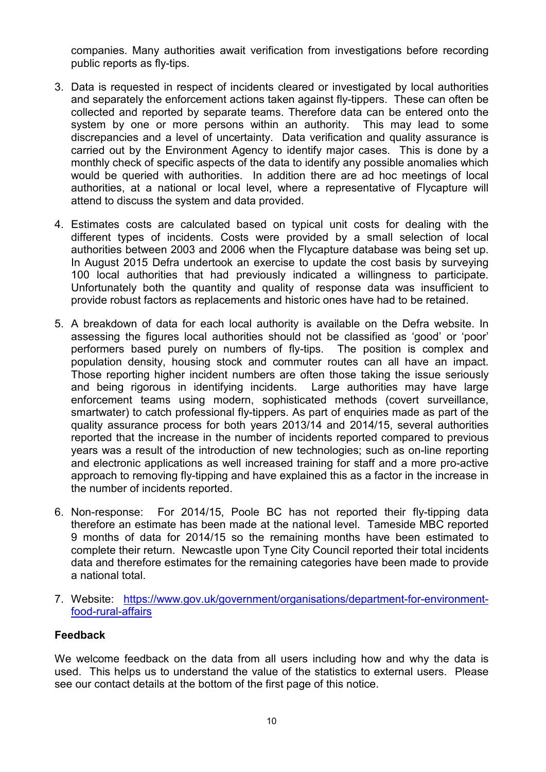companies. Many authorities await verification from investigations before recording public reports as fly-tips.

- 3. Data is requested in respect of incidents cleared or investigated by local authorities and separately the enforcement actions taken against fly-tippers. These can often be collected and reported by separate teams. Therefore data can be entered onto the system by one or more persons within an authority. This may lead to some discrepancies and a level of uncertainty. Data verification and quality assurance is carried out by the Environment Agency to identify major cases. This is done by a monthly check of specific aspects of the data to identify any possible anomalies which would be queried with authorities. In addition there are ad hoc meetings of local authorities, at a national or local level, where a representative of Flycapture will attend to discuss the system and data provided.
- 4. Estimates costs are calculated based on typical unit costs for dealing with the different types of incidents. Costs were provided by a small selection of local authorities between 2003 and 2006 when the Flycapture database was being set up. In August 2015 Defra undertook an exercise to update the cost basis by surveying 100 local authorities that had previously indicated a willingness to participate. Unfortunately both the quantity and quality of response data was insufficient to provide robust factors as replacements and historic ones have had to be retained.
- 5. A breakdown of data for each local authority is available on the Defra website. In assessing the figures local authorities should not be classified as 'good' or 'poor' performers based purely on numbers of fly-tips. The position is complex and population density, housing stock and commuter routes can all have an impact. Those reporting higher incident numbers are often those taking the issue seriously and being rigorous in identifying incidents. Large authorities may have large enforcement teams using modern, sophisticated methods (covert surveillance, smartwater) to catch professional fly-tippers. As part of enquiries made as part of the quality assurance process for both years 2013/14 and 2014/15, several authorities reported that the increase in the number of incidents reported compared to previous years was a result of the introduction of new technologies; such as on-line reporting and electronic applications as well increased training for staff and a more pro-active approach to removing fly-tipping and have explained this as a factor in the increase in the number of incidents reported.
- 6. Non-response: For 2014/15, Poole BC has not reported their fly-tipping data therefore an estimate has been made at the national level. Tameside MBC reported 9 months of data for 2014/15 so the remaining months have been estimated to complete their return. Newcastle upon Tyne City Council reported their total incidents data and therefore estimates for the remaining categories have been made to provide a national total.
- 7. Website: [https://www.gov.uk/government/organisations/department-for-environment](https://www.gov.uk/government/organisations/department-for-environment-food-rural-affairs)[food-rural-affairs](https://www.gov.uk/government/organisations/department-for-environment-food-rural-affairs)

## **Feedback**

We welcome feedback on the data from all users including how and why the data is used. This helps us to understand the value of the statistics to external users. Please see our contact details at the bottom of the first page of this notice.